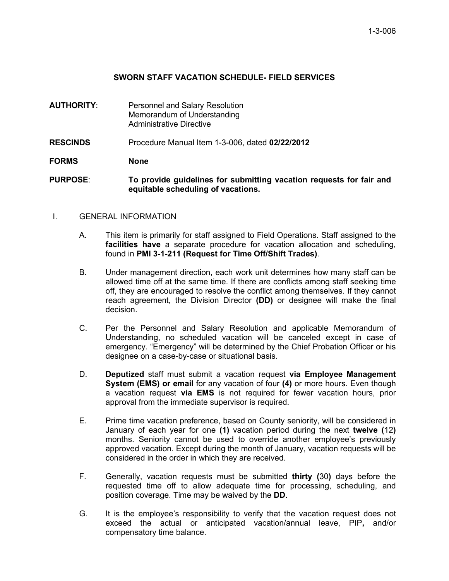## **SWORN STAFF VACATION SCHEDULE- FIELD SERVICES**

- **AUTHORITY**: Personnel and Salary Resolution Memorandum of Understanding Administrative Directive
- **RESCINDS** Procedure Manual Item 1-3-006, dated **02/22/2012**
- **FORMS None**
- **PURPOSE**: **To provide guidelines for submitting vacation requests for fair and equitable scheduling of vacations.**

## I. GENERAL INFORMATION

- A. This item is primarily for staff assigned to Field Operations. Staff assigned to the **facilities have** a separate procedure for vacation allocation and scheduling, found in **PMI 3-1-211 (Request for Time Off/Shift Trades)**.
- B. Under management direction, each work unit determines how many staff can be allowed time off at the same time. If there are conflicts among staff seeking time off, they are encouraged to resolve the conflict among themselves. If they cannot reach agreement, the Division Director **(DD)** or designee will make the final decision.
- C. Per the Personnel and Salary Resolution and applicable Memorandum of Understanding, no scheduled vacation will be canceled except in case of emergency. "Emergency" will be determined by the Chief Probation Officer or his designee on a case-by-case or situational basis.
- D. **Deputized** staff must submit a vacation request **via Employee Management System (EMS) or email** for any vacation of four **(4)** or more hours. Even though a vacation request **via EMS** is not required for fewer vacation hours, prior approval from the immediate supervisor is required.
- E. Prime time vacation preference, based on County seniority, will be considered in January of each year for one **(1)** vacation period during the next **twelve (**12**)** months. Seniority cannot be used to override another employee's previously approved vacation. Except during the month of January, vacation requests will be considered in the order in which they are received.
- F. Generally, vacation requests must be submitted **thirty (**30**)** days before the requested time off to allow adequate time for processing, scheduling, and position coverage. Time may be waived by the **DD**.
- G. It is the employee's responsibility to verify that the vacation request does not exceed the actual or anticipated vacation/annual leave, PIP**,** and/or compensatory time balance.